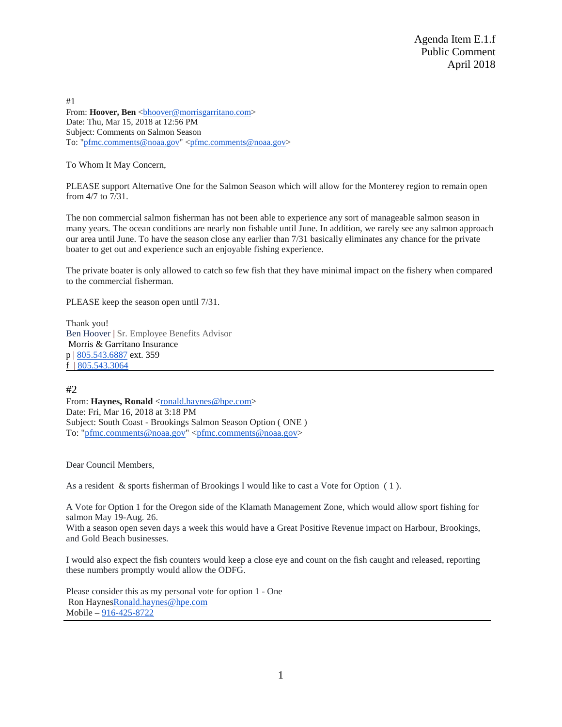Agenda Item E.1.f Public Comment April 2018

#1 From: **Hoover, Ben** <br/>bhoover@morrisgarritano.com> Date: Thu, Mar 15, 2018 at 12:56 PM Subject: Comments on Salmon Season To: ["pfmc.comments@noaa.gov"](mailto:pfmc.comments@noaa.gov) [<pfmc.comments@noaa.gov>](mailto:pfmc.comments@noaa.gov)

To Whom It May Concern,

PLEASE support Alternative One for the Salmon Season which will allow for the Monterey region to remain open from 4/7 to 7/31.

The non commercial salmon fisherman has not been able to experience any sort of manageable salmon season in many years. The ocean conditions are nearly non fishable until June. In addition, we rarely see any salmon approach our area until June. To have the season close any earlier than 7/31 basically eliminates any chance for the private boater to get out and experience such an enjoyable fishing experience.

The private boater is only allowed to catch so few fish that they have minimal impact on the fishery when compared to the commercial fisherman.

PLEASE keep the season open until 7/31.

Thank you! Ben Hoover | Sr. Employee Benefits Advisor Morris & Garritano Insurance p | [805.543.6887](tel:(805)%20543-6887) ext. 359 f | [805.543.3064](tel:(805)%20543-3064)

# #2

From: Haynes, Ronald <<u>ronald.haynes@hpe</u>.com> Date: Fri, Mar 16, 2018 at 3:18 PM Subject: South Coast - Brookings Salmon Season Option ( ONE ) To: ["pfmc.comments@noaa.gov"](mailto:pfmc.comments@noaa.gov) [<pfmc.comments@noaa.gov>](mailto:pfmc.comments@noaa.gov)

Dear Council Members,

As a resident & sports fisherman of Brookings I would like to cast a Vote for Option ( 1 ).

A Vote for Option 1 for the Oregon side of the Klamath Management Zone, which would allow sport fishing for salmon May 19-Aug. 26.

With a season open seven days a week this would have a Great Positive Revenue impact on Harbour, Brookings, and Gold Beach businesses.

I would also expect the fish counters would keep a close eye and count on the fish caught and released, reporting these numbers promptly would allow the ODFG.

Please consider this as my personal vote for option 1 - One Ron Hayne[sRonald.haynes@hpe.com](mailto:Ronald.haynes@hpe.com) Mobile – [916-425-8722](tel:(916)%20425-8722)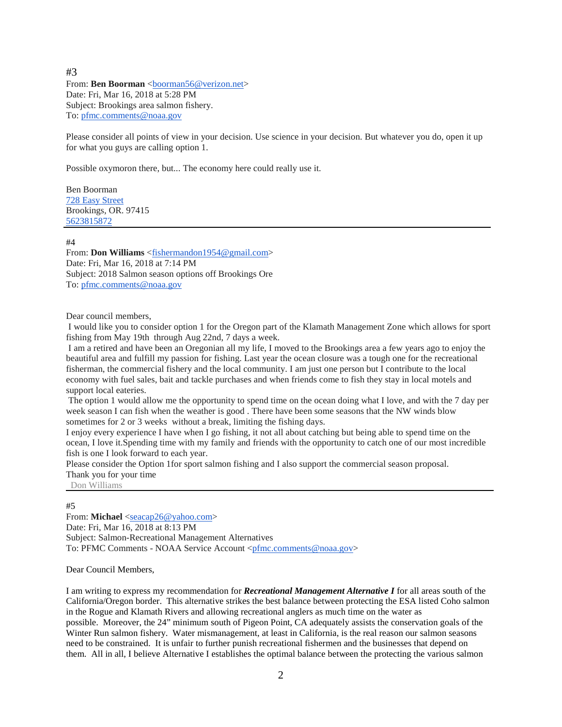# #3

From: **Ben Boorman** <br/>boorman56@verizon.net> Date: Fri, Mar 16, 2018 at 5:28 PM Subject: Brookings area salmon fishery. To: [pfmc.comments@noaa.gov](mailto:pfmc.comments@noaa.gov)

Please consider all points of view in your decision. Use science in your decision. But whatever you do, open it up for what you guys are calling option 1.

Possible oxymoron there, but... The economy here could really use it.

Ben Boorman [728 Easy Street](https://maps.google.com/?q=728+Easy+Street+%0D%0ABrookings,+OR.+97415&entry=gmail&source=g) Brookings, OR. 97415 [5623815872](tel:5623815872)

### #4

From: **Don Williams** [<fishermandon1954@gmail.com>](mailto:fishermandon1954@gmail.com) Date: Fri, Mar 16, 2018 at 7:14 PM Subject: 2018 Salmon season options off Brookings Ore To: [pfmc.comments@noaa.gov](mailto:pfmc.comments@noaa.gov)

#### Dear council members,

I would like you to consider option 1 for the Oregon part of the Klamath Management Zone which allows for sport fishing from May 19th through Aug 22nd, 7 days a week.

I am a retired and have been an Oregonian all my life, I moved to the Brookings area a few years ago to enjoy the beautiful area and fulfill my passion for fishing. Last year the ocean closure was a tough one for the recreational fisherman, the commercial fishery and the local community. I am just one person but I contribute to the local economy with fuel sales, bait and tackle purchases and when friends come to fish they stay in local motels and support local eateries.

The option 1 would allow me the opportunity to spend time on the ocean doing what I love, and with the 7 day per week season I can fish when the weather is good . There have been some seasons that the NW winds blow sometimes for 2 or 3 weeks without a break, limiting the fishing days.

I enjoy every experience I have when I go fishing, it not all about catching but being able to spend time on the ocean, I love it.Spending time with my family and friends with the opportunity to catch one of our most incredible fish is one I look forward to each year.

Please consider the Option 1for sport salmon fishing and I also support the commercial season proposal. Thank you for your time

Don Williams

# #5

From: **Michael** [<seacap26@yahoo.com>](mailto:seacap26@yahoo.com) Date: Fri, Mar 16, 2018 at 8:13 PM Subject: Salmon-Recreational Management Alternatives To: PFMC Comments - NOAA Service Account [<pfmc.comments@noaa.gov>](mailto:pfmc.comments@noaa.gov)

Dear Council Members,

I am writing to express my recommendation for *Recreational Management Alternative I* for all areas south of the California/Oregon border. This alternative strikes the best balance between protecting the ESA listed Coho salmon in the Rogue and Klamath Rivers and allowing recreational anglers as much time on the water as possible. Moreover, the 24" minimum south of Pigeon Point, CA adequately assists the conservation goals of the Winter Run salmon fishery. Water mismanagement, at least in California, is the real reason our salmon seasons need to be constrained. It is unfair to further punish recreational fishermen and the businesses that depend on them. All in all, I believe Alternative I establishes the optimal balance between the protecting the various salmon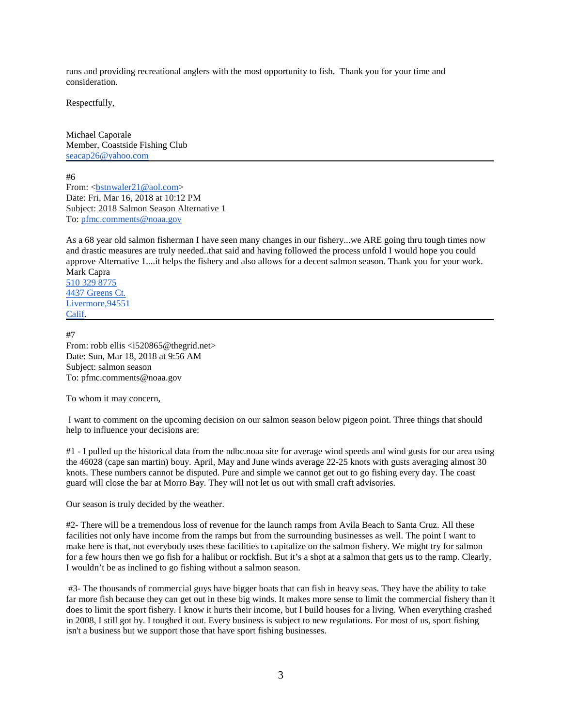runs and providing recreational anglers with the most opportunity to fish. Thank you for your time and consideration.

Respectfully,

Michael Caporale Member, Coastside Fishing Club [seacap26@yahoo.com](mailto:seacap26@yahoo.com)

#6 From: [<bstnwaler21@aol.com>](mailto:bstnwaler21@aol.com) Date: Fri, Mar 16, 2018 at 10:12 PM Subject: 2018 Salmon Season Alternative 1 To: [pfmc.comments@noaa.gov](mailto:pfmc.comments@noaa.gov)

As a 68 year old salmon fisherman I have seen many changes in our fishery...we ARE going thru tough times now and drastic measures are truly needed..that said and having followed the process unfold I would hope you could approve Alternative 1....it helps the fishery and also allows for a decent salmon season. Thank you for your work. Mark Capra

[510 329 8775](tel:(510)%20329-8775) [4437 Greens Ct.](https://maps.google.com/?q=4437+Greens+Ct.+%0D%0A%0D%0A+Livermore,94551+%0D%0A%0D%0A+Calif&entry=gmail&source=g) [Livermore,94551](https://maps.google.com/?q=4437+Greens+Ct.+%0D%0A%0D%0A+Livermore,94551+%0D%0A%0D%0A+Calif&entry=gmail&source=g) [Calif.](https://maps.google.com/?q=4437+Greens+Ct.+%0D%0A%0D%0A+Livermore,94551+%0D%0A%0D%0A+Calif&entry=gmail&source=g)

#7 From: robb ellis <i520865@thegrid.net> Date: Sun, Mar 18, 2018 at 9:56 AM Subject: salmon season To: pfmc.comments@noaa.gov

To whom it may concern,

I want to comment on the upcoming decision on our salmon season below pigeon point. Three things that should help to influence your decisions are:

#1 - I pulled up the historical data from the ndbc.noaa site for average wind speeds and wind gusts for our area using the 46028 (cape san martin) bouy. April, May and June winds average 22-25 knots with gusts averaging almost 30 knots. These numbers cannot be disputed. Pure and simple we cannot get out to go fishing every day. The coast guard will close the bar at Morro Bay. They will not let us out with small craft advisories.

Our season is truly decided by the weather.

#2- There will be a tremendous loss of revenue for the launch ramps from Avila Beach to Santa Cruz. All these facilities not only have income from the ramps but from the surrounding businesses as well. The point I want to make here is that, not everybody uses these facilities to capitalize on the salmon fishery. We might try for salmon for a few hours then we go fish for a halibut or rockfish. But it's a shot at a salmon that gets us to the ramp. Clearly, I wouldn't be as inclined to go fishing without a salmon season.

#3- The thousands of commercial guys have bigger boats that can fish in heavy seas. They have the ability to take far more fish because they can get out in these big winds. It makes more sense to limit the commercial fishery than it does to limit the sport fishery. I know it hurts their income, but I build houses for a living. When everything crashed in 2008, I still got by. I toughed it out. Every business is subject to new regulations. For most of us, sport fishing isn't a business but we support those that have sport fishing businesses.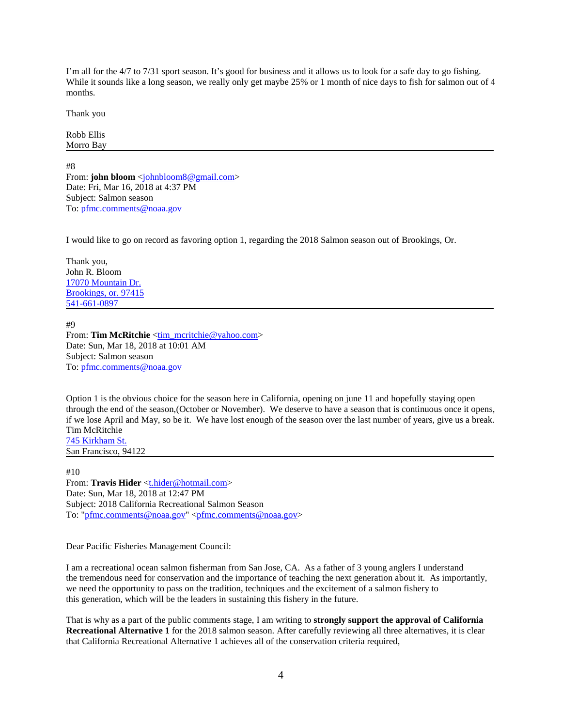I'm all for the 4/7 to 7/31 sport season. It's good for business and it allows us to look for a safe day to go fishing. While it sounds like a long season, we really only get maybe 25% or 1 month of nice days to fish for salmon out of 4 months.

Thank you

Robb Ellis Morro Bay

#8 From: **john bloom** [<johnbloom8@gmail.com>](mailto:johnbloom8@gmail.com) Date: Fri, Mar 16, 2018 at 4:37 PM Subject: Salmon season To: [pfmc.comments@noaa.gov](mailto:pfmc.comments@noaa.gov)

I would like to go on record as favoring option 1, regarding the 2018 Salmon season out of Brookings, Or.

Thank you, John R. Bloom [17070 Mountain Dr.](https://maps.google.com/?q=17070+Mountain+Dr.+Brookings,+or.+97415+541&entry=gmail&source=g) [Brookings, or. 97415](https://maps.google.com/?q=17070+Mountain+Dr.+Brookings,+or.+97415+541&entry=gmail&source=g) [541-661-0897](tel:(541)%20661-0897)

#9 From: **Tim McRitchie** [<tim\\_mcritchie@yahoo.com>](mailto:tim_mcritchie@yahoo.com) Date: Sun, Mar 18, 2018 at 10:01 AM Subject: Salmon season To: [pfmc.comments@noaa.gov](mailto:pfmc.comments@noaa.gov)

Option 1 is the obvious choice for the season here in California, opening on june 11 and hopefully staying open through the end of the season,(October or November). We deserve to have a season that is continuous once it opens, if we lose April and May, so be it. We have lost enough of the season over the last number of years, give us a break. Tim McRitchie [745 Kirkham St.](https://maps.google.com/?q=745+Kirkham+St.+%0D%0ASan+Francisco,+94122&entry=gmail&source=g)

San Francisco, 94122

#10 From: Travis Hider <thider@hotmail.com> Date: Sun, Mar 18, 2018 at 12:47 PM Subject: 2018 California Recreational Salmon Season To: ["pfmc.comments@noaa.gov"](mailto:pfmc.comments@noaa.gov) [<pfmc.comments@noaa.gov>](mailto:pfmc.comments@noaa.gov)

Dear Pacific Fisheries Management Council:

I am a recreational ocean salmon fisherman from San Jose, CA. As a father of 3 young anglers I understand the tremendous need for conservation and the importance of teaching the next generation about it. As importantly, we need the opportunity to pass on the tradition, techniques and the excitement of a salmon fishery to this generation, which will be the leaders in sustaining this fishery in the future.

That is why as a part of the public comments stage, I am writing to **strongly support the approval of California Recreational Alternative 1** for the 2018 salmon season. After carefully reviewing all three alternatives, it is clear that California Recreational Alternative 1 achieves all of the conservation criteria required,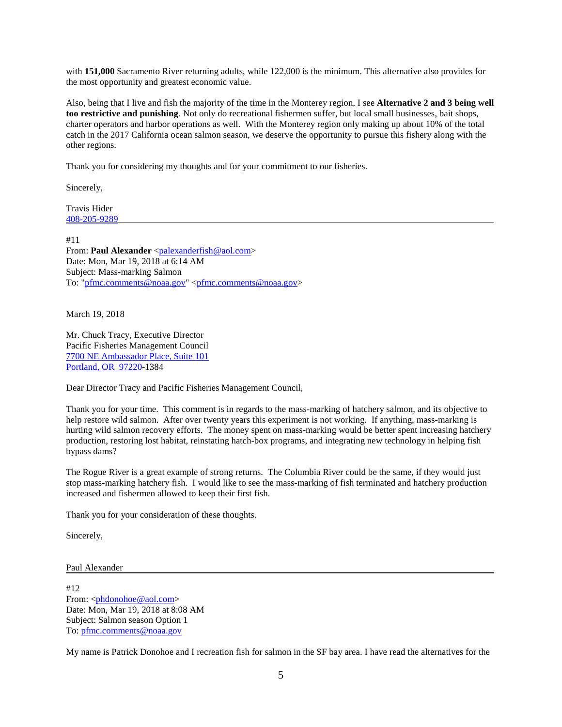with **151,000** Sacramento River returning adults, while 122,000 is the minimum. This alternative also provides for the most opportunity and greatest economic value.

Also, being that I live and fish the majority of the time in the Monterey region, I see **Alternative 2 and 3 being well too restrictive and punishing**. Not only do recreational fishermen suffer, but local small businesses, bait shops, charter operators and harbor operations as well. With the Monterey region only making up about 10% of the total catch in the 2017 California ocean salmon season, we deserve the opportunity to pursue this fishery along with the other regions.

Thank you for considering my thoughts and for your commitment to our fisheries.

Sincerely,

Travis Hider [408-205-9289](tel:(408)%20205-9289)

#11 From: **Paul Alexander** [<palexanderfish@aol.com>](mailto:palexanderfish@aol.com) Date: Mon, Mar 19, 2018 at 6:14 AM Subject: Mass-marking Salmon To: ["pfmc.comments@noaa.gov"](mailto:pfmc.comments@noaa.gov) [<pfmc.comments@noaa.gov>](mailto:pfmc.comments@noaa.gov)

March 19, 2018

Mr. Chuck Tracy, Executive Director Pacific Fisheries Management Council [7700 NE Ambassador Place, Suite 101](https://maps.google.com/?q=7700+NE+Ambassador+Place,+Suite+101+Portland,+OR%C2%A0+97220&entry=gmail&source=g) [Portland, OR](https://maps.google.com/?q=7700+NE+Ambassador+Place,+Suite+101+Portland,+OR%C2%A0+97220&entry=gmail&source=g) 97220-1384

Dear Director Tracy and Pacific Fisheries Management Council,

Thank you for your time. This comment is in regards to the mass-marking of hatchery salmon, and its objective to help restore wild salmon. After over twenty years this experiment is not working. If anything, mass-marking is hurting wild salmon recovery efforts. The money spent on mass-marking would be better spent increasing hatchery production, restoring lost habitat, reinstating hatch-box programs, and integrating new technology in helping fish bypass dams?

The Rogue River is a great example of strong returns. The Columbia River could be the same, if they would just stop mass-marking hatchery fish. I would like to see the mass-marking of fish terminated and hatchery production increased and fishermen allowed to keep their first fish.

Thank you for your consideration of these thoughts.

Sincerely,

Paul Alexander

#12 From: [<phdonohoe@aol.com>](mailto:phdonohoe@aol.com) Date: Mon, Mar 19, 2018 at 8:08 AM Subject: Salmon season Option 1 To: [pfmc.comments@noaa.gov](mailto:pfmc.comments@noaa.gov)

My name is Patrick Donohoe and I recreation fish for salmon in the SF bay area. I have read the alternatives for the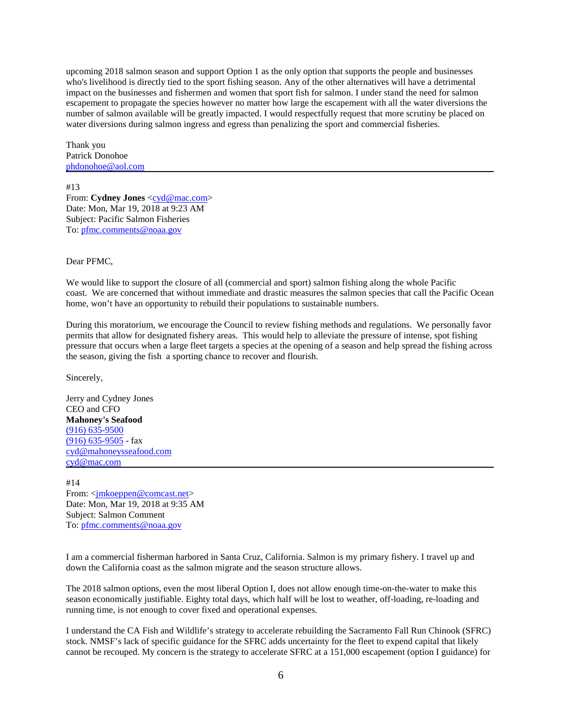upcoming 2018 salmon season and support Option 1 as the only option that supports the people and businesses who's livelihood is directly tied to the sport fishing season. Any of the other alternatives will have a detrimental impact on the businesses and fishermen and women that sport fish for salmon. I under stand the need for salmon escapement to propagate the species however no matter how large the escapement with all the water diversions the number of salmon available will be greatly impacted. I would respectfully request that more scrutiny be placed on water diversions during salmon ingress and egress than penalizing the sport and commercial fisheries.

Thank you Patrick Donohoe [phdonohoe@aol.com](mailto:phdonohoe@aol.com)

#13 From: **Cydney Jones** [<cyd@mac.com>](mailto:cyd@mac.com) Date: Mon, Mar 19, 2018 at 9:23 AM Subject: Pacific Salmon Fisheries To: [pfmc.comments@noaa.gov](mailto:pfmc.comments@noaa.gov)

Dear PFMC,

We would like to support the closure of all (commercial and sport) salmon fishing along the whole Pacific coast. We are concerned that without immediate and drastic measures the salmon species that call the Pacific Ocean home, won't have an opportunity to rebuild their populations to sustainable numbers.

During this moratorium, we encourage the Council to review fishing methods and regulations. We personally favor permits that allow for designated fishery areas. This would help to alleviate the pressure of intense, spot fishing pressure that occurs when a large fleet targets a species at the opening of a season and help spread the fishing across the season, giving the fish a sporting chance to recover and flourish.

Sincerely,

Jerry and Cydney Jones CEO and CFO **Mahoney's Seafood** [\(916\) 635-9500](tel:(916)%20635-9500) [\(916\) 635-9505](tel:(916)%20635-9505) - fax [cyd@mahoneysseafood.com](mailto:cyd@mahoneysseafood.com) [cyd@mac.com](mailto:cyd@mac.com)

#14 From: [<jmkoeppen@comcast.net>](mailto:jmkoeppen@comcast.net) Date: Mon, Mar 19, 2018 at 9:35 AM Subject: Salmon Comment To: [pfmc.comments@noaa.gov](mailto:pfmc.comments@noaa.gov)

I am a commercial fisherman harbored in Santa Cruz, California. Salmon is my primary fishery. I travel up and down the California coast as the salmon migrate and the season structure allows.

The 2018 salmon options, even the most liberal Option I, does not allow enough time-on-the-water to make this season economically justifiable. Eighty total days, which half will be lost to weather, off-loading, re-loading and running time, is not enough to cover fixed and operational expenses.

I understand the CA Fish and Wildlife's strategy to accelerate rebuilding the Sacramento Fall Run Chinook (SFRC) stock. NMSF's lack of specific guidance for the SFRC adds uncertainty for the fleet to expend capital that likely cannot be recouped. My concern is the strategy to accelerate SFRC at a 151,000 escapement (option I guidance) for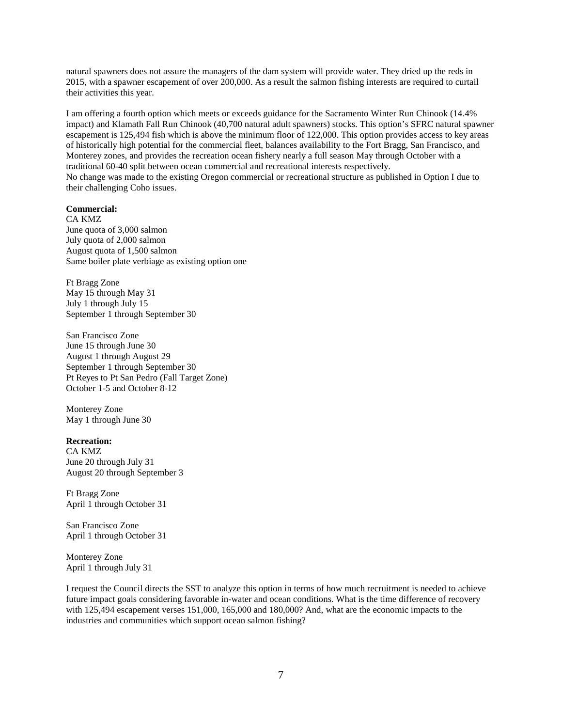natural spawners does not assure the managers of the dam system will provide water. They dried up the reds in 2015, with a spawner escapement of over 200,000. As a result the salmon fishing interests are required to curtail their activities this year.

I am offering a fourth option which meets or exceeds guidance for the Sacramento Winter Run Chinook (14.4% impact) and Klamath Fall Run Chinook (40,700 natural adult spawners) stocks. This option's SFRC natural spawner escapement is 125,494 fish which is above the minimum floor of 122,000. This option provides access to key areas of historically high potential for the commercial fleet, balances availability to the Fort Bragg, San Francisco, and Monterey zones, and provides the recreation ocean fishery nearly a full season May through October with a traditional 60-40 split between ocean commercial and recreational interests respectively. No change was made to the existing Oregon commercial or recreational structure as published in Option I due to their challenging Coho issues.

## **Commercial:**

CA KMZ June quota of 3,000 salmon July quota of 2,000 salmon August quota of 1,500 salmon Same boiler plate verbiage as existing option one

Ft Bragg Zone May 15 through May 31 July 1 through July 15 September 1 through September 30

San Francisco Zone June 15 through June 30 August 1 through August 29 September 1 through September 30 Pt Reyes to Pt San Pedro (Fall Target Zone) October 1-5 and October 8-12

Monterey Zone May 1 through June 30

### **Recreation:**

CA KMZ June 20 through July 31 August 20 through September 3

Ft Bragg Zone April 1 through October 31

San Francisco Zone April 1 through October 31

Monterey Zone April 1 through July 31

I request the Council directs the SST to analyze this option in terms of how much recruitment is needed to achieve future impact goals considering favorable in-water and ocean conditions. What is the time difference of recovery with 125,494 escapement verses 151,000, 165,000 and 180,000? And, what are the economic impacts to the industries and communities which support ocean salmon fishing?